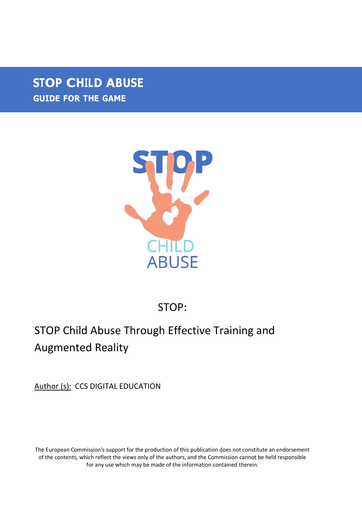## **STOP CHILD ABUSE GUIDE FOR THE GAME**



## STOP:

## STOP Child Abuse Through Effective Training and Augmented Reality

Author (s): CCS DIGITAL EDUCATION

The European Commission's support for the production of this publication does not constitute an endorsement of the contents, which reflect the views only of the authors, and the Commission cannot be held responsible for any use which may be made of the information contained therein.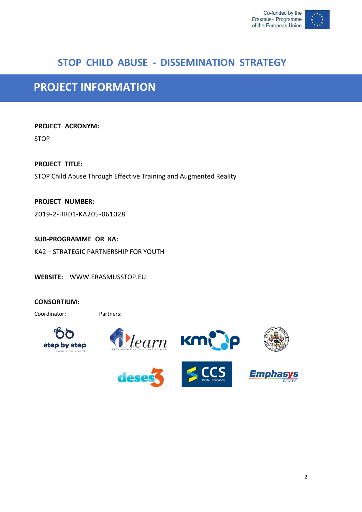

### **STOP CHILD ABUSE - DISSEMINATION STRATEGY**

## **PROJECT INFORMATION**

**PROJECT ACRONYM:** STOP

**PROJECT TITLE:** STOP Child Abuse Through Effective Training and Augmented Reality

**PROJECT NUMBER:** 2019-2-HR01-KA205-061028

**SUB-PROGRAMME OR KA:** KA2 – STRATEGIC PARTNERSHIP FOR YOUTH

**WEBSITE:** [WWW.ERASMUSSTOP.EU](http://www.erasmusstop.eu/)

#### **CONSORTIUM:**

Coordinator: Partners:









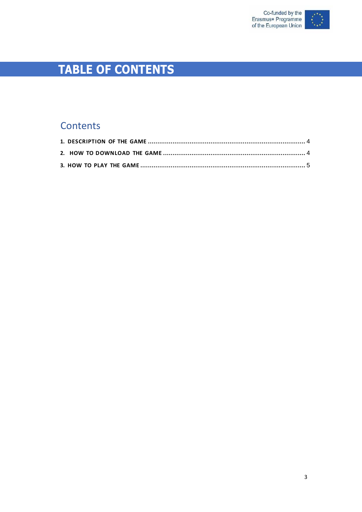

# **TABLE OF CONTENTS**

### Contents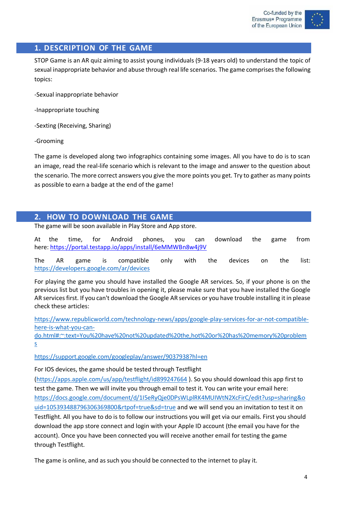

### <span id="page-3-0"></span>**1. DESCRIPTION OF THE GAME**

STOP Game is an AR quiz aiming to assist young individuals (9-18 years old) to understand the topic of sexual inappropriate behavior and abuse through real life scenarios. The game comprises the following topics:

-Sexual inappropriate behavior

-Inappropriate touching

-Sexting (Receiving, Sharing)

-Grooming

The game is developed along two infographics containing some images. All you have to do is to scan an image, read the real-life scenario which is relevant to the image and answer to the question about the scenario. The more correct answers you give the more points you get. Try to gather as many points as possible to earn a badge at the end of the game!

### <span id="page-3-1"></span>**2. HOW TO DOWNLOAD THE GAME**

The game will be soon available in Play Store and App store.

At the time, for Android phones, you can download the game from here: <https://portal.testapp.io/apps/install/6eMMWBn8w4j9V>

The AR game is compatible only with the devices on the list: <https://developers.google.com/ar/devices>

For playing the game you should have installed the Google AR services. So, if your phone is on the previous list but you have troubles in opening it, please make sure that you have installed the Google AR services first. If you can't download the Google AR services or you have trouble installing itin please check these articles:

[https://www.republicworld.com/technology-news/apps/google-play-services-for-ar-not-compatible](https://www.republicworld.com/technology-news/apps/google-play-services-for-ar-not-compatible-here-is-what-you-can-do.html#%3A~%3Atext%3DYou%20have%20not%20updated%20the%2Chot%20or%20has%20memory%20problems)[here-is-what-you-can-](https://www.republicworld.com/technology-news/apps/google-play-services-for-ar-not-compatible-here-is-what-you-can-do.html#%3A~%3Atext%3DYou%20have%20not%20updated%20the%2Chot%20or%20has%20memory%20problems)

[do.html#:~:text=You%20have%20not%20updated%20the,hot%20or%20has%20memory%20problem](https://www.republicworld.com/technology-news/apps/google-play-services-for-ar-not-compatible-here-is-what-you-can-do.html#%3A~%3Atext%3DYou%20have%20not%20updated%20the%2Chot%20or%20has%20memory%20problems) [s](https://www.republicworld.com/technology-news/apps/google-play-services-for-ar-not-compatible-here-is-what-you-can-do.html#%3A~%3Atext%3DYou%20have%20not%20updated%20the%2Chot%20or%20has%20memory%20problems)

<https://support.google.com/googleplay/answer/9037938?hl=en>

For IOS devices, the game should be tested through Testflight

[\(https://apps.apple.com/us/app/testflight/id899247664](https://apps.apple.com/us/app/testflight/id899247664) ). So you should download this app first to test the game. Then we will invite you through email to test it. You can write your email here: [https://docs.google.com/document/d/1I5eRyQje0DPsWLplRK4MUIWtN2XcFirC/edit?usp=sharing&o](https://docs.google.com/document/d/1I5eRyQje0DPsWLplRK4MUIWtN2XcFirC/edit?usp=sharing&ouid=105393488796306369800&rtpof=true&sd=true) [uid=105393488796306369800&rtpof=true&sd=true](https://docs.google.com/document/d/1I5eRyQje0DPsWLplRK4MUIWtN2XcFirC/edit?usp=sharing&ouid=105393488796306369800&rtpof=true&sd=true) and we will send you an invitation to test it on Testflight. All you have to do is to follow our instructions you will get via our emails. First you should download the app store connect and login with your Apple ID account (the email you have for the account). Once you have been connected you will receive another email for testing the game through Testflight.

The game is online, and as such you should be connected to the internet to play it.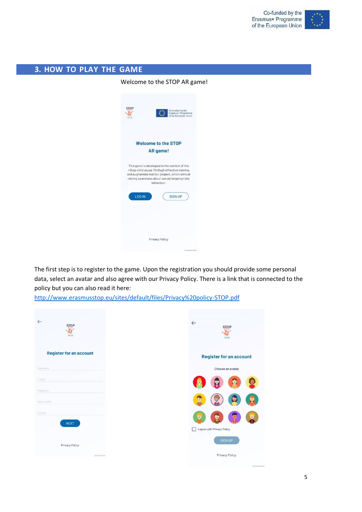

### <span id="page-4-0"></span>**3. HOW TO PLAY THE GAME**

Welcome to the STOP AR game!



The first step is to register to the game. Upon the registration you should provide some personal data, select an avatar and also agree with our Privacy Policy. There is a link that is connected to the policy but you can also read it here:

<http://www.erasmusstop.eu/sites/default/files/Privacy%20policy-STOP.pdf>

| $\leftarrow$<br><b>STOP</b><br>ABUSE | $\leftarrow$<br><b>STOP</b><br>ABUSE              |
|--------------------------------------|---------------------------------------------------|
| <b>Register for an account</b>       | <b>Register for an account</b>                    |
| Username                             | Choose an avatar                                  |
| E-mail                               | O                                                 |
| Password<br>Date of birth            | <b>Ry</b><br>ఴ                                    |
| Country<br><b>NEXT</b>               | ₩<br>C<br>U,<br>Ō,<br>I agree with Privacy Policy |
| Privacy Policy                       | <b>SIGN UP</b>                                    |
| Georgenet Sales                      | Privacy Policy                                    |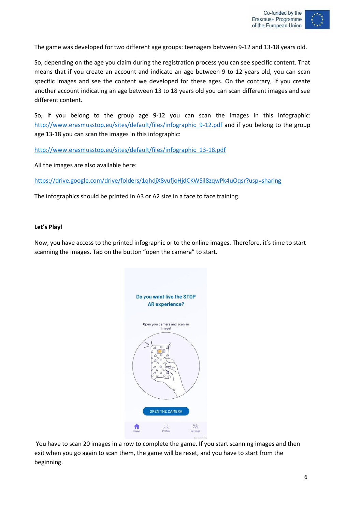

The game was developed for two different age groups: teenagers between 9-12 and 13-18 years old.

So, depending on the age you claim during the registration process you can see specific content. That means that if you create an account and indicate an age between 9 to 12 years old, you can scan specific images and see the content we developed for these ages. On the contrary, if you create another account indicating an age between 13 to 18 years old you can scan different images and see different content.

So, if you belong to the group age 9-12 you can scan the images in this infographic: [http://www.erasmusstop.eu/sites/default/files/infographic\\_9-12.pdf](http://www.erasmusstop.eu/sites/default/files/infographic_9-12.pdf) and if you belong to the group age 13-18 you can scan the images in this infographic:

[http://www.erasmusstop.eu/sites/default/files/infographic\\_13-18.pdf](http://www.erasmusstop.eu/sites/default/files/infographic_13-18.pdf)

All the images are also available here:

<https://drive.google.com/drive/folders/1qhdjX8vufjoHjdCKWSil8zqwPk4uOqsr?usp=sharing>

The infographics should be printed in A3 or A2 size in a face to face training.

#### **Let's Play!**

Now, you have access to the printed infographic or to the online images. Therefore, it's time to start scanning the images. Tap on the button "open the camera" to start.



You have to scan 20 images in a row to complete the game. If you start scanning images and then exit when you go again to scan them, the game will be reset, and you have to start from the beginning.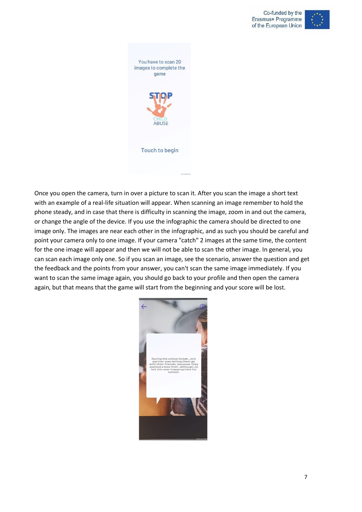



Once you open the camera, turn in over a picture to scan it. After you scan the image a short text with an example of a real-life situation will appear. When scanning an image remember to hold the phone steady, and in case that there is difficulty in scanning the image, zoom in and out the camera, or change the angle of the device. If you use the infographic the camera should be directed to one image only. The images are near each other in the infographic, and as such you should be careful and point your camera only to one image. If your camera "catch" 2 images at the same time, the content for the one image will appear and then we will not be able to scan the other image. In general, you can scan each image only one. So if you scan an image, see the scenario, answer the question and get the feedback and the points from your answer, you can't scan the same image immediately. If you want to scan the same image again, you should go back to your profile and then open the camera again, but that means that the game will start from the beginning and your score will be lost.

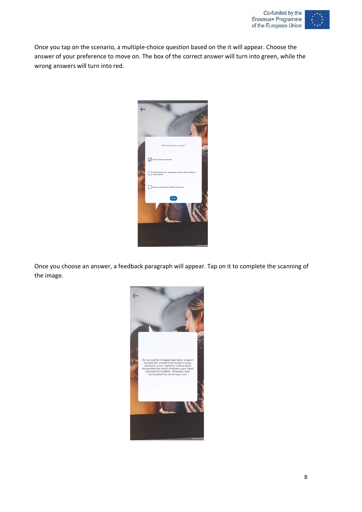

Once you tap on the scenario, a multiple-choice question based on the it will appear. Choose the answer of your preference to move on. The box of the correct answer will turn into green, while the wrong answers will turn into red.



Once you choose an answer, a feedback paragraph will appear. Tap on it to complete the scanning of the image.

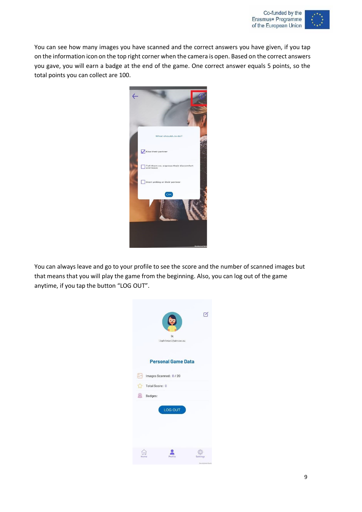

You can see how many images you have scanned and the correct answers you have given, if you tap on the information icon on the top right corner when the camera is open. Based on the correct answers you gave, you will earn a badge at the end of the game. One correct answer equals 5 points, so the total points you can collect are 100.



You can always leave and go to your profile to see the score and the number of scanned images but that means that you will play the game from the beginning. Also, you can log out of the game anytime, if you tap the button "LOG OUT".

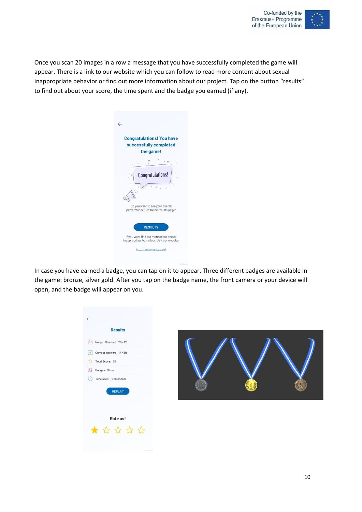

Once you scan 20 images in a row a message that you have successfully completed the game will appear. There is a link to our website which you can follow to read more content about sexual inappropriate behavior or find out more information about our project. Tap on the button "results" to find out about your score, the time spent and the badge you earned (if any).

| <b>Congratulations! You have</b><br>successfully completed<br>the game!              |
|--------------------------------------------------------------------------------------|
| $\circ$<br>$\circ$<br>Congratulations!<br>$\circ$                                    |
| Do you want to see your overall<br>performance? Go to the results page!              |
| <b>RESULTS</b>                                                                       |
| If you want find out more about sexual<br>inappropriate behaviour, visit our website |
| http://erasmusstop.eu/                                                               |

In case you have earned a badge, you can tap on it to appear. Three different badges are available in the game: bronze, silver gold. After you tap on the badge name, the front camera or your device will open, and the badge will appear on you.

| $\leftarrow$                          |  |  |
|---------------------------------------|--|--|
| <b>Results</b>                        |  |  |
| $\mathbb{R}$<br>Images Scanned: 20/20 |  |  |
| Correct answers: 17/20<br>$\vee$      |  |  |
| Total Score: 85<br>57                 |  |  |
| 8<br><b>Badges: Silver</b>            |  |  |
| Time spent: 6.182276 m<br>$\circ$     |  |  |
| REPLAY                                |  |  |
|                                       |  |  |
| Rate us!                              |  |  |
| * * * * *                             |  |  |
|                                       |  |  |